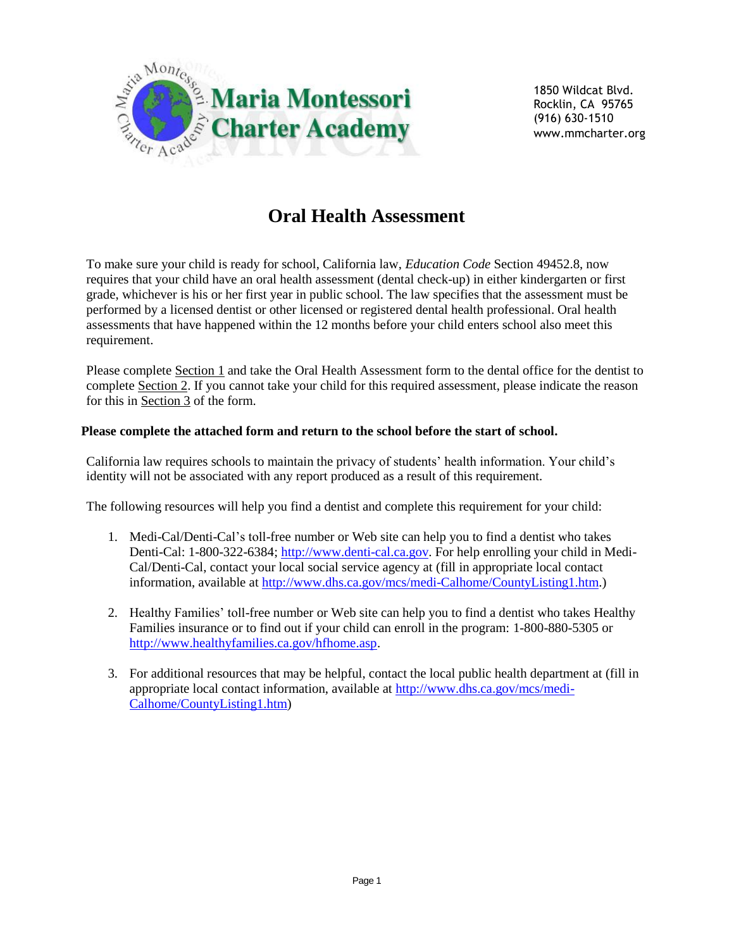

1850 Wildcat Blvd. Rocklin, CA 95765 (916) 630-1510 www.mmcharter.org

# **Oral Health Assessment**

To make sure your child is ready for school, California law, *Education Code* Section 49452.8, now requires that your child have an oral health assessment (dental check-up) in either kindergarten or first grade, whichever is his or her first year in public school. The law specifies that the assessment must be performed by a licensed dentist or other licensed or registered dental health professional. Oral health assessments that have happened within the 12 months before your child enters school also meet this requirement.

Please complete Section 1 and take the Oral Health Assessment form to the dental office for the dentist to complete Section 2. If you cannot take your child for this required assessment, please indicate the reason for this in Section 3 of the form.

#### **Please complete the attached form and return to the school before the start of school.**

California law requires schools to maintain the privacy of students' health information. Your child's identity will not be associated with any report produced as a result of this requirement.

The following resources will help you find a dentist and complete this requirement for your child:

- 1. Medi-Cal/Denti-Cal's toll-free number or Web site can help you to find a dentist who takes Denti-Cal: 1-800-322-6384; [http://www.denti-cal.ca.gov.](http://www.denti-cal.ca.gov/) For help enrolling your child in Medi-Cal/Denti-Cal, contact your local social service agency at (fill in appropriate local contact information, available at [http://www.dhs.ca.gov/mcs/medi-Calhome/CountyListing1.htm.](http://www.dhs.ca.gov/mcs/medi-Calhome/CountyListing1.htm))
- 2. Healthy Families' toll-free number or Web site can help you to find a dentist who takes Healthy Families insurance or to find out if your child can enroll in the program: 1-800-880-5305 or [http://www.healthyfamilies.ca.gov/hfhome.asp.](http://www.healthyfamilies.ca.gov/hfhome.asp)
- 3. For additional resources that may be helpful, contact the local public health department at (fill in appropriate local contact information, available at [http://www.dhs.ca.gov/mcs/medi-](http://www.dhs.ca.gov/mcs/medi-Calhome/CountyListing1.htm)[Calhome/CountyListing1.htm\)](http://www.dhs.ca.gov/mcs/medi-Calhome/CountyListing1.htm)